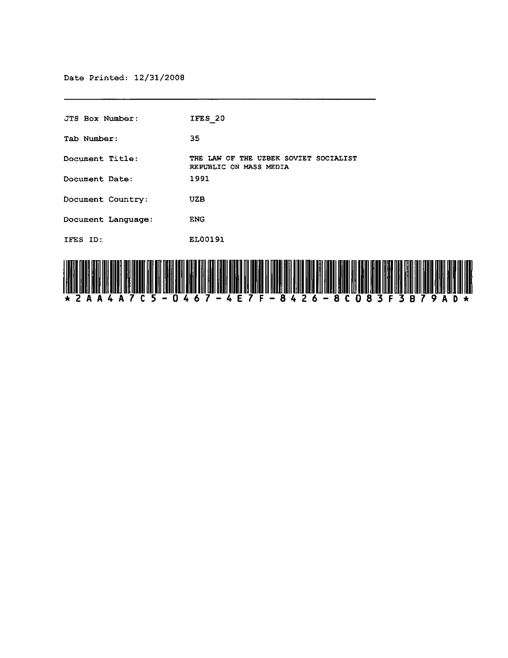| JTS Box Number:    | IFES 20                                                         |
|--------------------|-----------------------------------------------------------------|
| Tab Number:        | 35.                                                             |
| Document Title:    | THE LAW OF THE UZBEK SOVIET SOCIALIST<br>REPUBLIC ON MASS MEDIA |
| Document Date:     | 1991                                                            |
| Document Country:  | UZB                                                             |
| Document Language: | <b>ENG</b>                                                      |
| IFES ID.           | EL00191                                                         |
|                    |                                                                 |

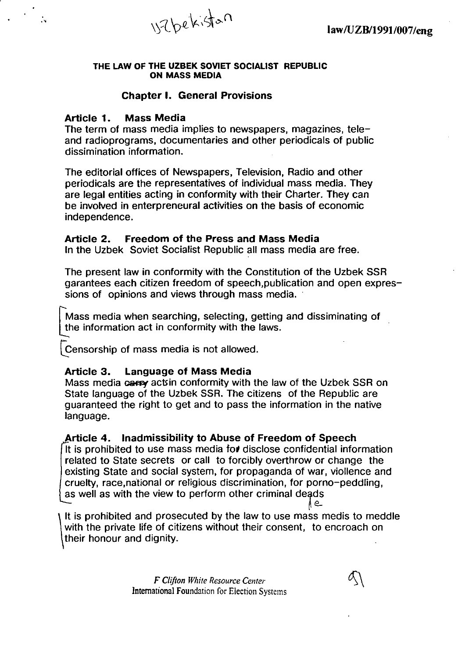

#### THE LAW OF THE UZBEK SOVIET SOCIALIST REPUBLIC ON MASS MEDIA

#### Chapter I. General Provisions

#### Article 1. Mass Media

.,

The term of mass media implies to newspapers, magazines, teleand radioprograms, documentaries and other periodicals of public dissimination information.

The editorial offices of Newspapers, Television, Radio and other periodicals are the representatives of individual mass media. They are legal entities acting in conformity with their Charter. They can be involved in enterpreneural activities on the basis of economic independence.

#### Article 2. Freedom of the Press and Mass Media

In the Uzbek Soviet Socialist Republic all mass media are free.

The present law in conformity with the Constitution of the Uzbek SSR garantees each citizen freedom of speech,publication and open expressions of opinions and views through mass media.

Mass media when searching, selecting, getting and dissiminating of the information act in conformity with the laws.

Censorship of mass media is not allowed.

#### Article 3. Language of Mass Media

Mass media cappy acts in conformity with the law of the Uzbek SSR on State language of the Uzbek SSR. The citizens of the Republic are guaranteed the right to get and to pass the information in the native language.

#### Article 4. Inadmissibility to Abuse of Freedom of Speech

It is prohibited to use mass media for disclose confidential information related to State secrets or call to forcibly overthrow or change the existing State and social system, for propaganda of war, viollence and cruelty, race,national or religious discrimination, for porno-peddling, as well as with the view to perform other criminal deads

It is prohibited and prosecuted by the law to use mass medis to meddle with the private life of citizens without their consent, to encroach on their honour and dignity.

> *F Clifton While Resource Center*  International Foundation for Election Systems

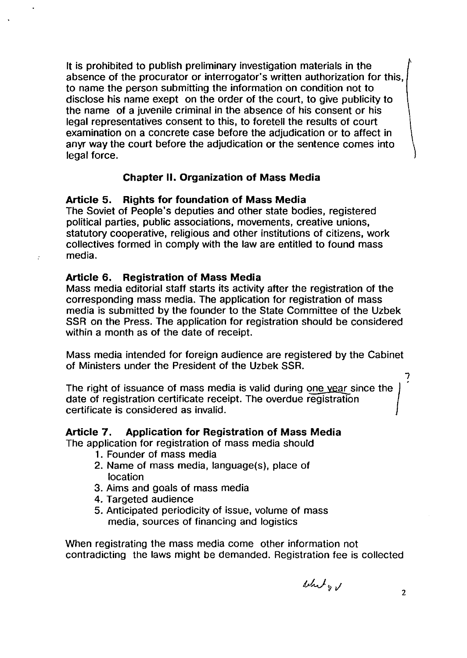It is prohibited to publish preliminary investigation materials in the absence of the procurator or interrogator's written authorization for this, to name the person submitting the information on condition not to disclose his name exept on the order of the court, to give publicity to the name of a juvenile criminal in the absence of his consent or his legal representatives consent to this, to foretell the results of court examination on a concrete case before the adjudication or to affect in anyr way the court before the adjudication or the sentence comes into legal force.

#### Chapter II. Organization of Mass Media

#### Article 5. Rights for foundation of Mass Media

The Soviet of People's deputies and other state bodies, registered political parties, public associations, movements, creative unions, statutory cooperative, religious and other institutions of citizens, work collectives formed in comply with the law are entitled to found mass media.

#### Article 6. Registration of Mass Media

Mass media editorial staff starts its activity after the registration of the corresponding mass media. The application for registration of mass media is submitted by the founder to the State Committee of the Uzbek SSR on the Press. The application for registration should be considered within a month as of the date of receipt.

Mass media intended for foreign audience are registered by the Cabinet of Ministers under the President of the Uzbek SSR.

The right of issuance of mass media is valid during one year since the date of registration certificate receipt. The overdue registration certificate is considered as invalid.

#### Article 7. Application for Registration of Mass Media

The application for registration of mass media should

- 1. Founder of mass media
- 2. Name of mass media, language(s), place of location
- 3. Aims and goals of mass media
- 4. Targeted audience
- 5. Anticipated periodicity of issue, volume of mass media, sources of financing and logistics

When registrating the mass media come other information not contradicting the laws might be demanded. Registration fee is collected

whity v

7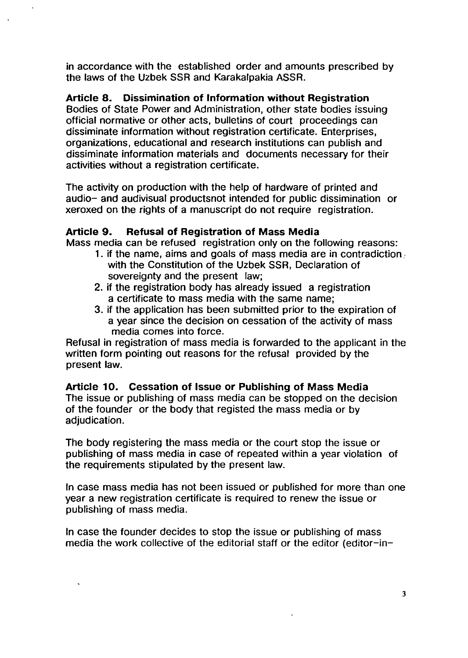in accordance with the established order and amounts prescribed by the laws of the Uzbek SSR and Karakalpakia ASSR.

#### Article 8. Dissimination of Information without Registration

Bodies of State Power and Administration, other state bodies issuing official normative or other acts, bulletins of court proceedings can dissiminate information without registration certificate. Enterprises, organizations, educational and research institutions can publish and dissiminate information materials and documents necessary for their activities without a registration certificate.

The activity on production with the help of hardware of printed and audio- and audivisual productsnot intended for public dissimination or xeroxed on the rights of a manuscript do not require registration.

#### Article 9. Refusal of Registration of Mass Media

Mass media can be refused registration only on the following reasons:

- 1. if the name, aims and goals of mass media are in contradiction: with the Constitution of the Uzbek SSR, Declaration of sovereignty and the present law:
- 2. if the registration body has already issued a registration a certificate to mass media with the same name;
- 3. if the application has been submitted prior to the expiration of a year since the decision on cessation of the activity of mass media comes into force.

Refusal in registration of mass media is forwarded to the applicant in the written form pointing out reasons for the refusal provided by the present law.

#### Article 10. Cessation of Issue or Publishing of Mass Media

The issue or publishing of mass media can be stopped on the decision of the founder or the body that registed the mass media or by adjudication.

The body registering the mass media or the court stop the issue or publishing of mass media in case of repeated within a year violation of the requirements stipulated by the present law.

In case mass media has not been issued or published for more than one year a new registration certificate is required to renew the issue or publishing of mass media.

In case the founder decides to stop the issue or publishing of mass media the work collective of the editorial staff or the editor (editor-in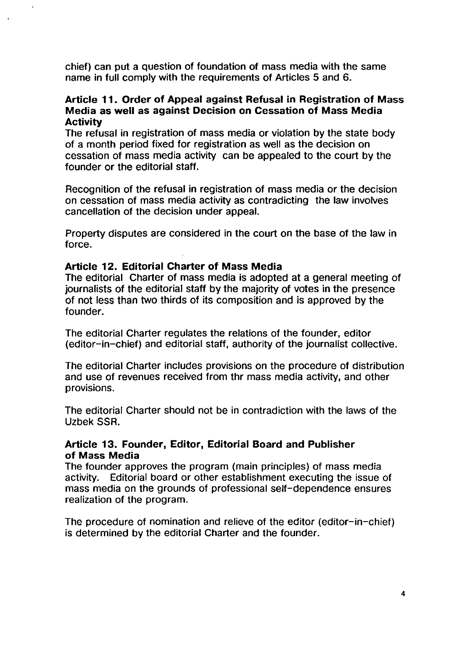chief) can put a question of foundation of mass media with the same name in full comply with the requirements of Articles 5 and 6.

#### Article 11. Order of Appeal against Refusal in Registration of Mass Media as well as against Decision on Cessation of Mass Media **Activity**

The refusal in registration of mass media or violation by the state body of a month period fixed for registration as well as the decision on cessation of mass media activity can be appealed to the court by the founder or the editorial staff.

Recognition of the refusal in registration of mass media or the decision on cessation of mass media activity as contradicting the law involves cancellation of the decision under appeal.

Property disputes are considered in the court on the base of the law in force.

#### Article 12. Editorial Charter of Mass Media

 $\ddot{\phantom{a}}$ 

The editorial Charter of mass media is adopted at a general meeting of journalists of the editorial staff by the majority of votes in the presence of not less than two thirds of its composition and is approved by the founder.

The editorial Charter regulates the relations of the founder, editor (editor-in-chief) and editorial staff, authority of the journalist collective.

The editorial Charter includes provisions on the procedure of distribution and use of revenues received from thr mass media activity, and other provisions.

The editorial Charter should not be in contradiction with the laws of the Uzbek SSR.

#### Article 13. Founder, Editor, Editorial Board and Publisher of Mass Media

The founder approves the program (main principles) of mass media activity. Editorial board or other establishment executing the issue of mass media on the grounds of professional self-dependence ensures realization of the program.

The procedure of nomination and relieve of the editor (editor-in-chief) is determined by the editorial Charter and the founder.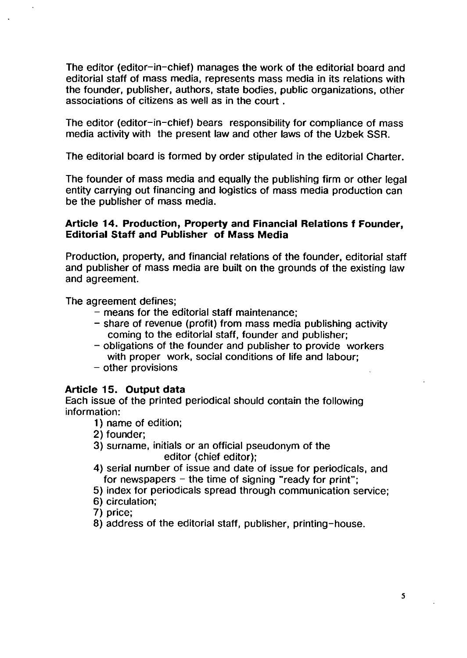The editor (editor-in-chief) manages the work of the editorial board and editorial staff of mass media, represents mass media in its relations with the founder, publisher, authors, state bodies, public organizations, other associations of citizens as well as in the court .

The editor (editor-in-chief) bears responsibility for compliance of mass media activity with the present law and other laws of the Uzbek SSR.

The editorial board is formed by order stipulated in the editorial Charter.

The founder of mass media and equally the publishing firm or other legal entity carrying out financing and logistics of mass media production can be the publisher of mass media.

#### **Article 14. Production, Property and Financial Relations f Founder, Editorial Staff and Publisher of Mass Media**

Production, property, and financial relations of the founder, editorial staff and publisher of mass media are built on the grounds of the existing law and agreement.

The agreement defines;

- means for the editorial staff maintenance;
- share of revenue (profit) from mass media publishing activity coming to the editorial staff, founder and publisher;
- obligations of the founder and publisher to provide workers with proper work, social conditions of life and labour;
- other provisions

#### **Article 15. Output data**

Each issue of the printed periodical should contain the following information:

- 1) name of edition;
- 2) founder;
- 3) surname, initials or an official pseudonym of the editor (chief editor);
- 4) serial number of issue and date of issue for periodicals, and for newspapers  $-$  the time of signing "ready for print";
- 5) index for periodicals spread through communication service;
- 6) circulation;

7) price;

8) address of the editorial staff, publisher, printing-house.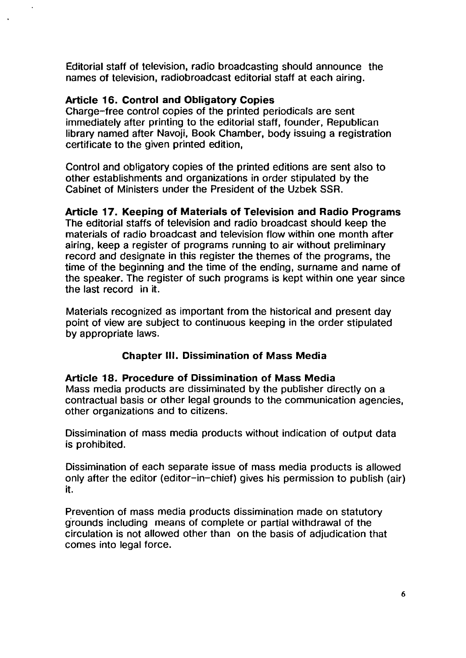Editorial staff of television, radio broadcasting should announce the names of television, radiobroadcast editorial staff at each airing.

#### Article 16. Control and Obligatory Copies

Charge-free control copies of the printed periodicals are sent immediately after printing to the editorial staff, founder, Republican library named after Navoji, Book Chamber, body issuing a registration certificate to the given printed edition,

Control and obligatory copies of the printed editions are sent also to other establishments and organizations in order stipulated by the Cabinet of Ministers under the President of the Uzbek SSR.

#### Article 17. Keeping of Materials of Television and Radio Programs

The editorial staffs of television and radio broadcast should keep the materials of radio broadcast and television flow within one month after airing, keep a register of programs running to air without preliminary record and designate in this register the themes of the programs, the time of the beginning and the time of the ending, surname and name of the speaker. The register of such programs is kept within one year since the last record in it.

Materials recognized as important from the historical and present day point of view are subject to continuous keeping in the order stipulated by appropriate laws.

#### Chapter III. Dissimination of Mass Media

Article 18. Procedure of Dissimination of Mass Media Mass media products are dissiminated by the publisher directly on a contractual basis or other legal grounds to the communication agencies, other organizations and to citizens.

Dissimination of mass media products without indication of output data is prohibited.

Dissimination of each separate issue of mass media products is allowed only after the editor (editor-in-chief) gives his permission to publish (air) it.

Prevention of mass media products dissimination made on statutory grounds including means of complete or partial withdrawal of the circulation is not allowed other than on the basis of adjudication that comes into legal force.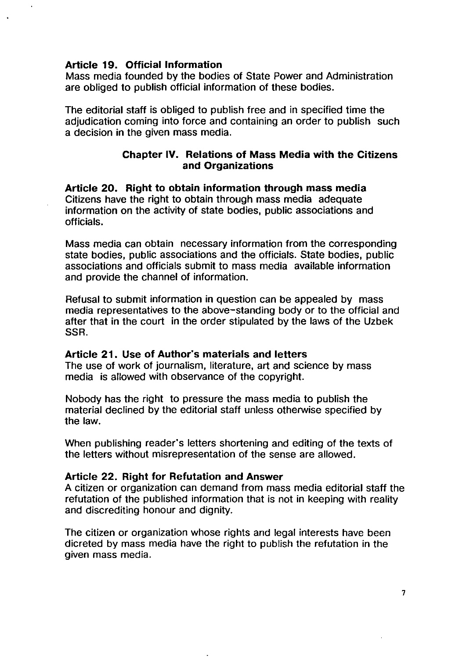#### **Article 19. Official Information**

 $\overline{a}$ 

Mass media founded by the bodies of State Power and Administration are obliged to publish official information of these bodies.

The editorial staff is obliged to publish free and in specified time the adjudication coming into force and containing an order to publish such a decision in the given mass media.

#### **Chapter IV. Relations of Mass Media with the Citizens and Organizations**

**Article 20. Right to obtain information through mass media**  Citizens have the right to obtain through mass media adequate information on the activity of state bodies, public associations and officials.

Mass media can obtain necessary information from the corresponding state bodies, public associations and the officials. State bodies, public associations and officials submit to mass media available information and provide the channel of information.

Refusal to submit information in question can be appealed by mass media representatives to the above-standing body or to the official and after that in the court in the order stipulated by the laws of the Uzbek SSR.

#### **Article 21. Use of Author's materials and letters**

The use of work of journalism, literature, art and science by mass media is allowed with observance of the copyright.

Nobody has the right to pressure the mass media to publish the material declined by the editorial staff unless otherwise specified by the law.

When publishing reader's letters shortening and editing of the texts of the letters without misrepresentation of the sense are allowed.

#### **Article 22. Right for Refutation and Answer**

A citizen or organization can demand from mass media editorial staff the refutation of the published information that is not in keeping with reality and discrediting honour and dignity.

The citizen or organization whose rights and legal interests have been dicreted by mass media have the right to publish the refutation in the given mass media.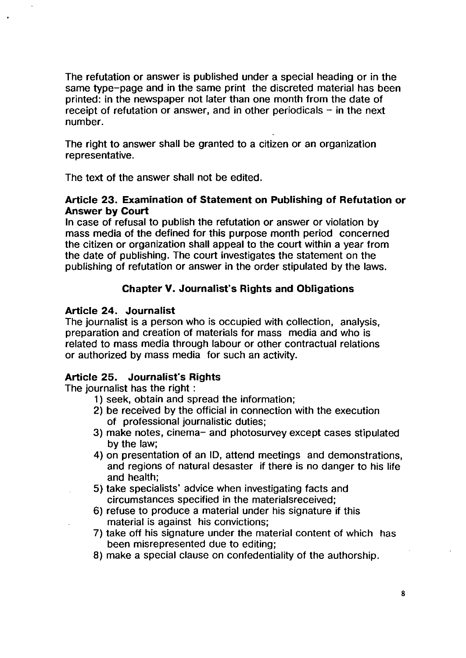The refutation or answer is published under a special heading or in the same type-page and in the same print the discreted material has been printed: in the newspaper not later than one month from the date of receipt of refutation or answer, and in other periodicals  $-$  in the next number.

The right to answer shall be granted to a citizen or an organization representative.

The text of the answer shall not be edited.

#### Article 23. Examination of Statement on Publishing of Refutation or Answer by Court

In case of refusal to publish the refutation or answer or violation by mass media of the defined for this purpose month period concerned the citizen or organization shall appeal to the court within a year from the date of publishing. The court investigates the statement on the publishing of refutation or answer in the order stipulated by the laws.

#### Chapter V. Journalist's Rights and Obligations

#### Article 24. Journalist

The journalist is a person who is occupied with collection, analysis, preparation and creation of materials for mass media and who is related to mass media through labour or other contractual relations or authorized by mass media for such an activity.

#### Article 25. Journalist's Rights

The journalist has the right :

- 1) seek, obtain and spread the information;
- 2) be received by the official in connection with the execution of professional journalistic duties;
- 3) make notes, cinema- and photosurvey except cases stipulated by the law;
- 4) on presentation of an ID, attend meetings and demonstrations, and regions of natural desaster if there is no danger to his life and health;
- 5) take specialists' advice when investigating facts and circumstances specified in the materialsreceived;
- 6) refuse to produce a material under his Signature if this material is against his convictions;
- 7) take off his Signature under the material content of which has been misrepresented due to editing;
- 8) make a special clause on confedentiality of the authorship.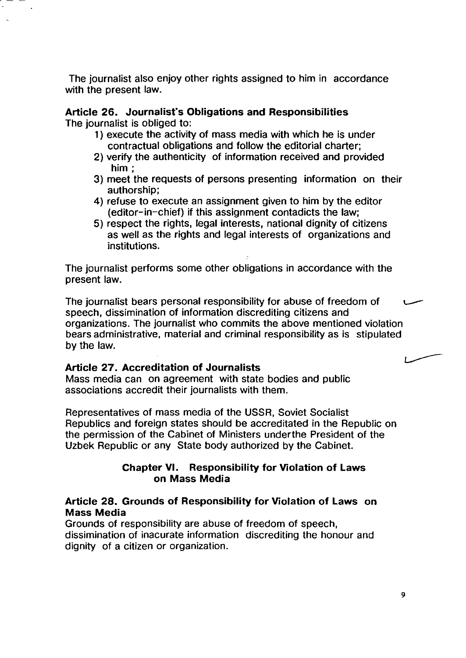The journalist also enjoy other rights assigned to him in accordance with the present law.

#### Article 26. Journalist's Obligations and Responsibilities The journalist is obliged to:

- 1) execute the activity of mass media with which he is under contractual obligations and follow the editorial charter;
- 2) verify the authenticity of information received and provided him;
- 3) meet the requests of persons presenting information on their authorship;
- 4) refuse to execute an assignment given to him by the editor (editor-in-chief) if this assignment contadicts the law;
- 5) respect the rights, legal interests, national dignity of citizens as well as the rights and legal interests of organizations and institutions.

The journalist performs some other obligations in accordance with the present law.

The journalist bears personal responsibility for abuse of freedom of speech, dissimination of information discrediting citizens and organizations. The journalist who commits the above mentioned violation bears administrative, material and criminal responsibility as is stipulated by the law.

#### Article 27. Accreditation of Journalists

Mass media can on agreement with state bodies and public associations accredit their journalists with them.

Representatives of mass media of the USSR, Soviet Socialist Republics and foreign states should be accreditated in the Republic on the permission of the Cabinet of Ministers underthe President of the Uzbek Republic or any State body authorized by the Cabinet.

#### Chapter VI. Responsibility for Violation of Laws on Mass Media

#### Article 28. Grounds of Responsibility for Violation of Laws on Mass Media

Grounds of responsibility are abuse of freedom of speech, dissimination of inacurate information discrediting the honour and dignity of a citizen or organization.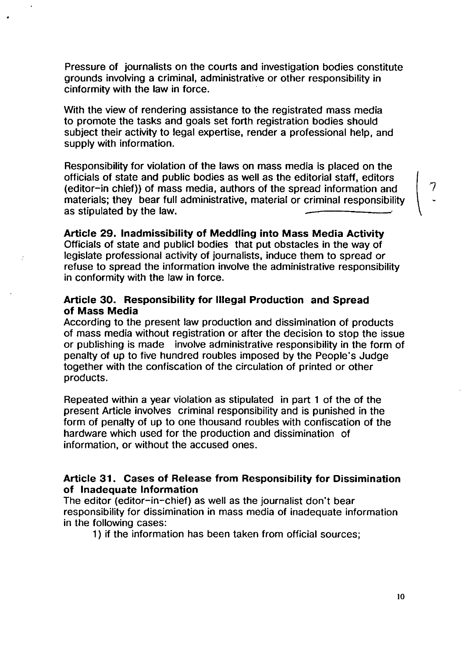Pressure of journalists on the courts and investigation bodies constitute grounds involving a criminal, administrative or other responsibility in cinformity with the law in force.

With the view of rendering assistance to the registrated mass media to promote the tasks and goals set forth registration bodies should subject their activity to legal expertise, render a professional help, and supply with information.

Responsibility for violation of the laws on mass media is placed on the officials of state and public bodies as well as the editorial staff, editors \ (editor-in chief)) of mass media, authors of the spread information and 7 materials; they bear full administrative, material or criminal responsibility as stipulated by the law.

#### Article 29. Inadmissibility of Meddling into Mass Media Activity

Officials of state and publici bodies that put obstacles in the way of legislate professional activity of journalists, induce them to spread or refuse to spread the information involve the administrative responsibility in conformity with the law in force.

#### Article 30. Responsibility for Illegal Production and Spread of Mass Media

According to the present law production and dissimination of products of mass media without registration or after the decision to stop the issue or publishing is made involve administrative responsibility in the form of penalty of up to five hundred roubles imposed by the People's Judge together with the confiscation of the circulation of printed or other products.

Repeated within a year violation as stipulated in part 1 of the of the present Article involves criminal responsibility and is punished in the form of penalty of up to one thousand roubles with confiscation of the hardware which used for the production and dissimination of information, or without the accused ones.

#### Article 31. Cases of Release from Responsibility for Dissimination of Inadequate Information

The editor (editor-in-chief) as well as the journalist don't bear responsibility for dissimination in mass media of inadequate information in the following cases:

1) if the information has been taken from official sources;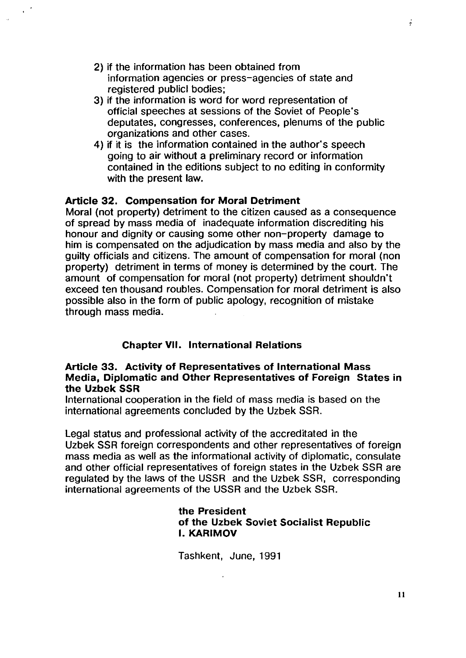- 2) if the information has been obtained from information agencies or press-agencies of state and registered publici bodies;
- 3) if the information is word for word representation of official speeches at sessions of the Soviet of People's deputates, congresses, conferences, plenums of the public organizations and other cases,
- 4) if it is the information contained in the author's speech going to air without a preliminary record or information contained in the editions subject to no editing in conformity with the present law,

#### Article 32, Compensation for Moral Detriment

Moral (not property) detriment to the citizen caused as a consequence of spread by mass media of inadequate information discrediting his honour and dignity or causing some other non-property damage to him is compensated on the adjudication by mass media and also by the guilty officials and citizens, The amount of compensation for moral (non property) detriment in terms of money is determined by the court. The amount of compensation for moral (not property) detriment shouldn't exceed ten thousand roubles. Compensation for moral detriment is also possible also in the form of public apology, recognition of mistake through mass media.

#### Chapter VII. International Relations

#### Article 33. Activity of Representatives of International Mass Media, Diplomatic and Other Representatives of Foreign States in the Uzbek SSR

International cooperation in the field of mass media is based on the international agreements concluded by the Uzbek SSR.

Legal status and professional activity of the accreditated in the Uzbek SSR foreign correspondents and other representatives of foreign mass media as well as the informational activity of diplomatic, consulate and other official representatives of foreign states in the Uzbek SSR are regulated by the laws of the USSR and the Uzbek SSR, corresponding international agreements of the USSR and the Uzbek SSR.

#### the President of the Uzbek Soviet Socialist Republic I. KARIMOV

Tashkent, June, 1991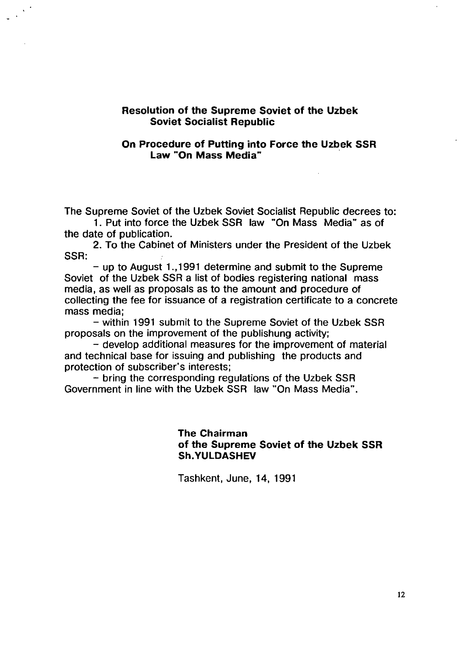#### Resolution of the Supreme Soviet of the Uzbek Soviet Socialist Republic

#### On Procedure of Putting into Force the Uzbek SSR Law "On Mass Media" .

The Supreme Soviet of the Uzbek Soviet Socialist Republic decrees to:

1. Put into force the Uzbek SSR law "On Mass Media" as of the date of publication.

2. To the Cabinet of Ministers under the President of the Uzbek SSR:

- up to August 1.,1991 determine and submit to the Supreme Soviet of the Uzbek SSR a list of bodies registering national mass media, as well as proposals as to the amount and procedure of collecting the fee for issuance of a registration certificate to a concrete mass media;

- within 1991 submit to the Supreme Soviet of the Uzbek SSR proposals on the improvement of the publishung activity;

 $-$  develop additional measures for the improvement of material and technical base for issuing and publishing the products and protection of subscriber's interests;

- bring the corresponding regulations of the Uzbek SSR Government in line with the Uzbek SSR law "On Mass Media".

> The Chairman of the Supreme Soviet of the Uzbek SSR Sh.YULDASHEV

Tashkent, June, 14, 1991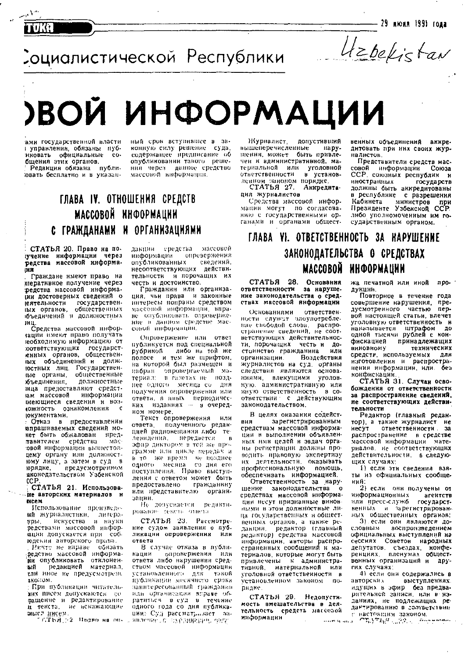— 29 июля 1991 года

Социалистической Республики

Uzbekistan

# ВОЙ ИНФОРМАЦИИ

ами государственной власти і управлення, обязаны пубофициальные иковать coбщения этих органов.

 $\mathcal{N}^{\mathfrak{o},\mathfrak{o}}$ 

предакция обязана публи-

ный срок вступившее в законную силу решение суда, опубликовании такого решения через данное средство массовой информации.

### ГЛАВА IV. ОТНОШЕНИЯ СРЕДСТВ МАССОВОЙ ИНФОРМАЦИИ С ГРАЖДАНАМИ И ОРГАНИЗАЦИЯМИ

СТАТЬЯ 20. Право на потучение информации через редства массовой информа-ÜИ

Грансдане имеют право на итеративное получение через редства массовой информани достоверных сведений о **еятельности** государственпых органов, общественных бъедичений и должностных **IMII** 

Средства массовой инфорзации имеют право получать необходимую информацию от ютветствующих государст-<br>енных органов, общественных объединений и должюстных лиц. Государственвые органы, общественные должностные объединения. ница предоставляют средстинформации ам массовой меющиеся сведения и воз-**«ОЖНОСТЬ** ознакомления  $\mathbf c$ юкументами.

Отказ в предоставлении апрашиваемых сведений мокет быть обжалован предтавителем средства  $MAP$ ювой информации вышестояцему органу или должностюму лицу, а затем в суд в юрядке, предусмотренном вконодательством Узбекской  $CCP$ 

#### СТАТЬЯ 21. Использоваие авторских матерналов и нсем

Использование произведеий журналистики, литера-<br>уры, искусства и науки редствами массовой инфорации допускается при собкодении авторского права.

Ничто не вправе солзать редство массовой информадо опубликовать отнлонен-<br>- ви редакцией материал сли нное не предусмотрене аконом.

При публикации читательжих писем допускаются соващение и редактирование и текста, не искажающие

дакции средства массовой опровержения ниформации опубликованных сведений. несоответствующих действительности и порочащих их честь и достоинство.

Гражданин или организация, чьи права и законные интересы попраны средством массовой информации вправе опубликовать опровержение в данном средстве массовой информации.

Опровержение или ответ публикуется под специальной лнбо на той же рубрикой полосе и тем же шрифтом. на которой был размещен и набран опровергаемый материал: в газетах не позднее одного месяца со дня получения опровержения или ответи, в иных периодичесном номере.

Текст опровержения нли ответа. полученного редакцией радвовещания либо телевидения. передается  $\overline{B}$ эфир диктором в тей же программе или никле передач и в то же время не позднее со дня его одного месяца поступления. Право выступления с ответом может быть предоставлено гражданину или представителю органи. зации.

Не допускается редактирование текста ответа

СТАТЬЯ 23. Рассмотрение судом заявления о публикации опровержения или ответа

В случае отваза в публи-Кации опровержения или отнета либо нарушения средством массовой информации публикации месячного срока занитересованный граждании нди организации вправе обратиться в суд в течение мысл инсем. Право на он. явление с предписание оперативно с представит со ции: Суд рассмать за-

Журналист. допустивший вышеперечисленные Hapyшения, может быть привлечен к административной, материальной или уголовной ответственности в установленном законом порядке. СТАТЬЯ 27. Аккредита-

ция журналистов

Средства массовой информании могут по согласованию с государственными органами и органами общественных объединений аккредитовать при них своих журналистов.

Представители средств массовой информации Союза ССР союзных республик и нностранных государств должны быть аккредитованы в республике с разрешения министров Кабинета при Президенте Узбекской ССР. либо уполномоченным им государственным органом.

### ГЛАВА VI. ОТВЕТСТВЕННОСТЬ ЗА НАРУШЕНИЕ ЗАКОНОДАТЕЛЬСТВА О СРЕДСТВАХ МАССОВОЙ ИНФОРМАЦИИ

СТАТЬЯ 28. Основания ответственности за нарушение законодательства о средствах массовой информации

ответствен-Основаниями ности служит злоупотребление свободой слова, распроветствующих действительности, порочащих честь и достоинство гражданина или организации. **Воздействия** журналистов на суд, органы следствия являются основаниями, влекущими **Vroлов**ную, административную или иную стветственность в соответствии с действующим занонодательством.

В целях оказания содейст-**RKS** зарегистрированным средствам массовой информации в выполнении объявленных ими целей и задач органы регистрации должны проводить правовую экспертизу их деятельности, оказывать профессиональную помощь. обеспечивать информацией.

Ответственность за нарушение законодательства ം средствах массовой информаными в этом должностные лица государственных и общестпенных органов, а также редакции, редактор (главный редактор) средства массовой информации, авторы распространенных сообщений и матерналов, которые могут быть привлечены к административной, материальной или уголовной ответственности в установленном законом порндне.

СТАТЬЯ 29. Недопустимость вмешательства в деятельность средств массовой информации

жа печатной или иной npoдукции.

Повторное в течение года совершение нарушения, npeдусмотренного частью nepвой настоящей статьи, влечет уголовную ответственность и наказывается штрафом до одной тысячи рублей с конфискацией принадлежащих **виновному** технических средств, используемых пля нзготовления и распространения информации, или. без конфискации.

СТАТЬЯ 31. Случан освобождения от ответственности за распространенне сведений, не соответствующих действительности

Редактор (главный редактор), а также журналист не несут ответственности. за распространение в средстве массовой информации материалов, не соответствующих действительности, в следующих случаях:

1) если эти сведения взяты из официальных сообщений:

2) если они получены от информационных агентств нли пресс-служб. rocygapcy. венных и зарегистрированных общественных органов;

3) если они являются довоспроизведением словным официальных выступлений на сессиях Советон народных депутатов, съездах, конфевенных организаций и **ADV**гих случаях:

4) если они содержались в авторских выступлениях. ндущих в эфир без предварительной записи, или в изданиях, не подлежащих редантированию в соответствии севой в настоящим законом.<br>Энтерного СТУСКА 1920 Веститель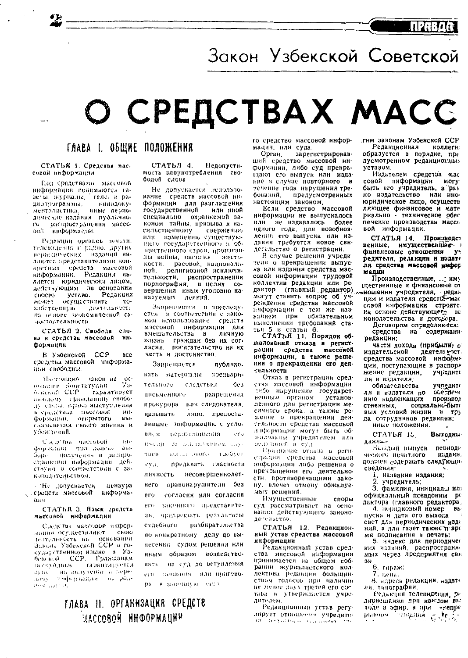# Закон Узбекской Советской

# О СРЕДСТВАХ МАСС

#### ГЛАВА І. ОБЩНЕ ПОЛОЖЕНИЯ

#### СТАТЬЯ 1. Средства массовой информации

Под средствами массовой икформации полимаются газеты, журналы, геле, и радиэпрограммы. - кинолокументалистика. -нные периодические издания публачноro распространении массо- $\omega$ : виформатии

Редавции органов нечали. телевидения и радно, других ллются представителями вонкоетных. средств массовой информации. Редакция излается юридическим лицом, действующим на основании устава. Редакция своего осуществлять **MORET**  $\mathbf{v}$ зайственную деятельность на основе экономической самостоятельности.

СТАТЬЯ 2. Свобеда слова и средства массовой информации

В Узбекской **CCP BCe** средства массовой информации свободны.

Пастоящий лакон на 1965<br>ггуцай - Узосмании Конституцаи. осколой ССР гарантирует важдому гражданину свободу слова, право выступления в средствах массовой<br>формации, открытого  $-$  and  $BB$ свазывания своего мнения и Adelsteenft.

Согдетва массовой  $1.114$ формации при зонене вы-- получению и распроingpeстранении информации действуют в соответствии с законодительством.

Петросускается цензура " средств массовой информа- $0.1:11$ 

СТАТЬЯ 3. Язык средств мыссовой информации

Спедства массовой инфорланны осуществляют. свою получается на основании<br>Закона Узбекской ССР о гобевской ССР. Гражданам - на получение в переdiana. попформации на рол-**APPA** HOSPITAL PRO

СТАТЬЯ 4. Недопустипость злоупотребления сво-

Не допускается использосредств массовой инвание формации для разглашения государственной или иной специально охраннемой законом тайны, призыва к насильственному. — свержению или изменению существующего государственного и общественного строя, прошланды войны, насилия. жестокости, расовой, национальной, религиозной исключительности, распространения вершения иных уголовно на-

Запрешается и преследуется в соответствии с законом истользование средств мэссовой информации для вмещательства личную  $\mathbf{B}$ жизнь граждан без их согласни посигательство на их честь и достоинство.

Запрещается публико. вать материалы предварительного следствия  $6<sub>2</sub>$ письменного разрешения прокурора или следователя, называть лицо, предоставнишее информацию с усло-**BH-M** - пераза явшения in Su имени да поллючением спуmaris. — веліда стого падебует evaпредавать гласности личность несовершеннолетнего вравонарушителя без ero. согласия или согласия его законного представителя, предреквать результаты разбирательства судебного по конкретному делу до вынесения судом решения или нным образом воздействовать на суд до вступления его пениения или приговоpa B gascuutoo camb

го средство массовой информации, или суда.

Орган. зарегистрировавший средство массовой информации, либо суд прекращают его выпуск или издание в случае повторного в течение года нарушения требований предусмотренных настоящим законом.

Если средство массовой информации не выпускалось или не издавалось более одного года, для возобновления его выпуска или издання требуется новое свидетельство о регистрации.

В случае решения учредителя о прекращении выпуска или издания средства массовой информации трудовой коллектив редакции или редактор (главный редактор) могут ставить вопрос об учреждении средства массовой внформации с тем же названнем при обязательном выполнении требований стаи 5 и статьи 6.<br>и 5 и статьи 6.<br>СТАТЬЯ 11. Порядок обтьн

жалования отказа в регистрации средства массовой информации, а также решения о прекращении его деятельности

Отказ в регистрации средства массовой информации либо нарушение государстненным органом установленного для регистрации месячного срока, а также решение о прекращении деятельности средства массовой ниформации могут быть обжалованы учредителем нин редолнией в суд-

Признание отназа в регистрации средства массовой информации либо решения о прекращении его деятельности, противоречащими закону, влечет отмену обжалуемых решений.

Имущественные споры суд рассматривает на основанни действующего законодательства.

СТАТЬЯ 12. Редакционный устав средства массовой информации

Редакционный устав средства массовой наформации принимается на общем собрании журналистского коллектний редакции большинне менее двух третей его сотава в утверждается учредителем

Редакционный устав регулирует отношения учредите-20 De Politique des commerлим законам Узбекской ССР Редакционная коллеги: образуется в порядке, пре дусмотренном редакционных устаном.

Издателем средства жас совой информации могу быть его учредитель, а рав но излательство или иноюридическое лицо, осуществ ляющее финансовое и мате риально техническое обес печение производства массо вой информации.

СТАТЬЯ 14. Производст венные, имущественные и финаисовые отношения V. редителя, редакции и издате ля средства массовой инфор мадин

Производственные. " иму щественные и финансовые от жношения учредителя, редакция и издателя средстве-мас совой информации строятс.

на основе действующего за конодательства и договера.

Договором определяются: средства на содержани редакции:

части дохода (прибыли) о издательской деятель чтот средства массовой информа ции, поступающие в распоря жение редакции, **УЧЬепите** ля и издателя:

обязательства учредите ля и издателя по oveniew. нию надлежащих производ стяенных социально-быт вых условий жизни  $H$ 701 да сотрудников редакции; нные положения.  $\sim$ 

СТАТЬЯ 15. Выходны диниые

Каждый выпуск периоди ческого печатного издани. должен <sub>с</sub>одержа<mark>ть следую</mark>щн сведения:

і, название надания:

2. учредитель;

3. фамилия, инициалы ил официальный псевлоним ре дактора (главного редактора,

4. перядковый номер  $B<sub>b</sub>$ пуска н дата его выхода свет для периодических изда ний, а для газет также п вре мя подписания в печать:

им подписании в нелатр,<br>5. индекс для периодических изданий, распространие мых через предприятия свя зя:

6. тираж.

7. neital

8. адреса редакции, издате ля, тынографии. Редакции телевидения, ра

диовещания при каждом вы ходе в эфир, а при -непре platonow companing  $-\mathbf{r}_1$ ,  $\frac{1}{2}$ .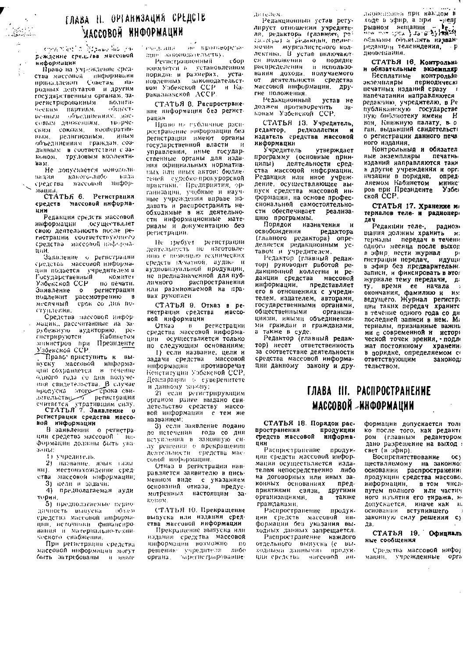## ГЛАВА Н. ОРГАНИЗАЦИЯ СРЕДСТВ млееовой информации

Anna martin Massachia yar реждение средства массовой ниформации

Право на учреждение средства массовой информации родных депутатов и другим государственным органам, зарегистрированным политическим нартиям. - 101110 CTисчным. объединенных, массовым движениям, творческим союзам, кооперативралигнозным. ំអាចស ным объединениям граждан, созданным в соответствии с законом, трудовым коллекти-Ba M

Не допускается моноволизадия какого-либо вида средства массовой информации

СТАТЬЯ 6. Регистрация cheacts массовой информаинн

Редакция средств массовой ннформации — осуществллет свою деятельность после регистрации соответствующего средства массовой наформаtti H.

Заввление о регистрации средства массовой информации подается учредителем в **осударственный** комитет Узбекской ССР - по печати.<br>Заявление - о - регистрации подлежит и регистрацию<br>- подлежит рассмотрению<br>- месячный срок со лич  $\mathbf{B}$ грок со дня поступлении.

Средства массовой информацик, рассчитанные на зарубежную аудиторию регистрируются Кабиветом министров при Президенте

Право приступить к выпуску массовой информаодного года со дня получения свидетельства. В случае продуска этого срока свидетельство - регистрации считается утратившим силу.

 $_{0}$ регистрации средства массоной информации

В занвлении о регистрации средства массовой  $-10.1$ Формации должны быть указаные

1) учредитель.

2) название, язык газы ви), местонахождение средства массовой информации;

З) нели и задачи.

4) предполагаемая ауди тория.

5) предполагаемые периодичность вынуска - OO LUM средства массовой информации, источными финансирования и материально-технического снабжения.

При регистрации средства массовой информации могут быть затребованы и иные

не протпеоречаene territori. идне занонодательству.

ഫ്ല Регистрационный взимается в установленном порядке и размерах. ycraновленных законодательством Узбекской ССР и Караказнакской АССР.

СТАТЬЯ 8. Распространение информации без регистрации

Право не губличное распространение информации без регистрации имеют органы государственной власти управления, иные государственные органы для издания официальных нормативных или иных автов. бюллетеней судебно-прокурорской практнин. Предприятия, организации, учебные и научные учреждения вправе издавать и распространять необходимые в их деятельности информационные материалы и документацию без регистриции.

Не требует регистрации деятельность но изготовлению с помощью технических средств (д-чатной, аудио- и аудновнауальной продукции. не предназначенной для пубраспространения личного нли размножаемой на правах рукописи

СТАТЬЯ 9. Отказ в регистрации средства MBCCOвой информации

Отказ в регистрации ции осуществляется только по следующим основаниям:

1) если название, цели и задачи средства массовой информации противоречат Конституции Узбекской ССР Некларации с суверенитете и данному загону;

2) если регистрирующим органом ранее выдано свидетельство средству массо вой информации с тем же названием;

3) если заявление подано до истечения года со дня вступления в законную силу решения о прекращении совой информации.

Отназ в регистрации направляется заявителю в письменном виде с указанием оснований отказа, пре предус-ำล ROBOM.

СТАТЬЯ 10. Прекращение выпуска или издания средства массовой информации

Прекращение выпуска или надании средства массовой ниформации возможно по пировиние учредителя либо<br>органа, зарегистраровавшеда гелем.

Редакционный устав регулирует отношения учредителя, редактора (главного г tal-result a pedantum, nomeмочия жургалистекого коллектива. В устав вниючаютси положения - о порядке<br>распределения - и использо-<br>вания - дохода, получаемого от деятельности средства массовой информации, другие положения

Релакционный устав не должен противоречить  $34 -$ 

СТАТЬЯ 13. Учредитель, редактор. релколлегия **H** нздатель средства массовой ннформации

Учредитель утверждает программу (основные приндеятельности средцилы) ства массовой информации. Редакция или иное учреждение. осуществляющее выпуск средства массовой информации, на основе професснональной самостоятельности обеспечивает реализацию программы.

Порядок назначения и освобождения редактора (главного редактора) определиется редакционным уставом и учредителем.

Редактор (главный редактор) руководит работой редакционной коллегии и pe. дакции средства массовой ннформации, представляет его в отношениях с учредителем, издателем, авторами, государственными органами. общественными организациями, иными объединениями граждан и гражданами, а также в суде.

- Редактор (главный редакза соответствие деятельности средства массовой информации данному закону и друдирвеннива при какцом в and a schub a state of the contract of the state of the state of the state of the state of the state of the state of the state of the state of the state of the state of the state of the state of the state of the state of t обизаны объявлять названредакции телевидения. диовещания.

СТАТЬЯ 16. Контрольный обизательные экземпляр

Бесплатные **КОНТ**РОЛЬНЬ периодически зкаемиляры нечатных изданий сразу  $\blacksquare$ напечатании направляются редакцию учредителю, в Ре публиканскую государстве вои Книжную палату в о ган. выдавший свидетельсті о регистрации данного печа ного издания.

Контрольный и обязател ные экземпляры печатны изданий направляются таки в другие учреждения и орга низации в порядке, опредляемом Кабинетом **минис** Y<sub>30er</sub> ской ССР.

СТАТЬЯ 17. Хранение м терналов теле- и раднопердач

Редакции телерадиов цания должны хранить термалы передач в течени одного месяца после выход в эфир, вести журнал  $\mathbf{D}$ гистрации передач, идущи в эфир без предварительно записи, и фиксировать в это журнале тему передачи, да му, время ее начала у применение начала у окончания, фамилию и им.<br>ведущего. Журнал регистра им. в течение одного года со дн последней записи в нем. Ма териалы, признанные важнь ми с современной и истори ческой точек зрения, подле жат постоянному хранени: в порядке, определяемом с ответствующим законод тельством.

#### ГЛАВА III. РАСПРОСТРАНЕНИЕ МАССОВОЙ «ИНФОРМАЦИИ

СТАТЬЯ 18. Порядок распространения продукции средств массовой ннформапии

Распространение продукции средсти массовой информации осуществляется издателем непосредственно либо на договорных или иных законных основаниях предприятиями связи, другими организациями.  $\mathbf{a}$ также гражданами.

Распространение продукции средств массовой информации без указания выходных данных запрещается.

Распространение каждого отдельного вынуска (с выходными данными). продукции средства массовой информации допускается толі ко после того, как редакти ром (главным редактором дано разрешение на выход свет (в эфир).

**Воспрепитствование**  $OC<sub>3</sub>$ ществляемому на законно: основании распространении продукции средства массово. информации, в том числе путем полного или частич ного изъятия его тиража, и допускается, иначелак н. основании вступившего законную силу решения су na.

#### СТАТЬЯ 19. Официаль ные сообщения

Средства массовой инфор мании, учрежденные орга